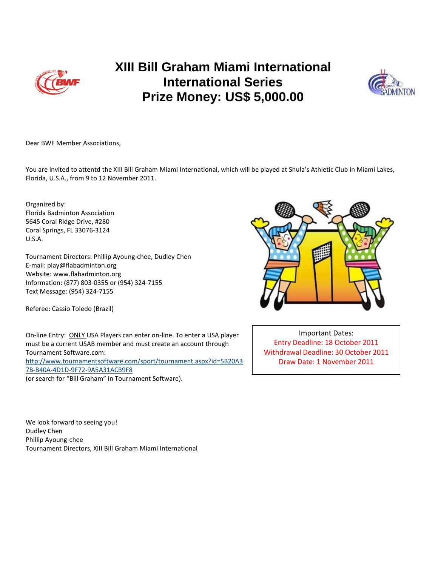

## **XIII Bill Graham Miami International International Series Prize Money: US\$ 5,000.00**



Dear BWF Member Associations,

You are invited to attentd the XIII Bill Graham Miami International, which will be played at Shula's Athletic Club in Miami Lakes, Florida, U.S.A., from 9 to 12 November 2011.

Organized by: Florida Badminton Association 5645 Coral Ridge Drive, #280 Coral Springs, FL 33076-3124 U.S.A.

Tournament Directors: Phillip Ayoung-chee, Dudley Chen E-mail: play@flabadminton.org Website: www.flabadminton.org Information: (877) 803-0355 or (954) 324-7155 Text Message: (954) 324-7155

Referee: Cassio Toledo (Brazil)

On-line Entry: ONLY USA Players can enter on-line. To enter a USA player must be a current USAB member and must create an account through Tournament Software.com: [http://www.tournamentsoftware.com/sport/tournament.aspx?id=5B20A3](http://www.tournamentsoftware.com/sport/tournament.aspx?id=5B20A37B-B40A-4D1D-9F72-9A5A31ACB9F8) [7B-B40A-4D1D-9F72-9A5A31ACB9F8](http://www.tournamentsoftware.com/sport/tournament.aspx?id=5B20A37B-B40A-4D1D-9F72-9A5A31ACB9F8) (or search for "Bill Graham" in Tournament Software).



Important Dates: Entry Deadline: 18 October 2011 Withdrawal Deadline: 30 October 2011 Draw Date: 1 November 2011

We look forward to seeing you! Dudley Chen Phillip Ayoung-chee Tournament Directors, XIII Bill Graham Miami International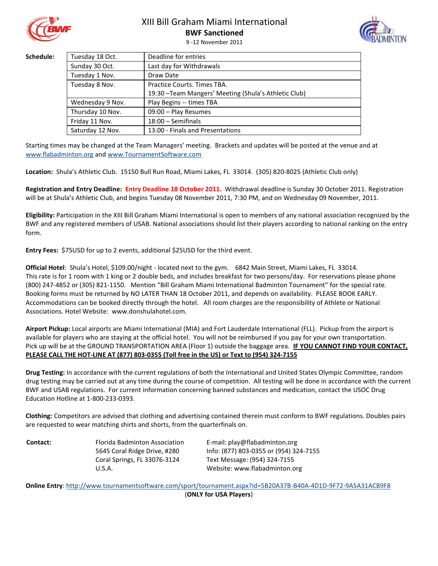

## XIII Bill Graham Miami International

**BWF Sanctioned** 9 -12 November 2011



Schedule:

| Tuesday 18 Oct.  | Deadline for entries                                  |  |
|------------------|-------------------------------------------------------|--|
| Sunday 30 Oct.   | Last day for Withdrawals                              |  |
| Tuesday 1 Nov.   | Draw Date                                             |  |
| Tuesday 8 Nov.   | Practice Courts. Times TBA.                           |  |
|                  | 19:30 - Team Mangers' Meeting (Shula's Athletic Club) |  |
| Wednesday 9 Nov. | Play Begins -- times TBA                              |  |
| Thursday 10 Nov. | 09:00 - Play Resumes                                  |  |
| Friday 11 Nov.   | $18:00 -$ Semifinals                                  |  |
| Saturday 12 Nov. | 13:00 - Finals and Presentations                      |  |

Starting times may be changed at the Team Managers' meeting. Brackets and updates will be posted at the venue and at [www.flabadminton.org](http://www.flabadminton.org/) an[d www.TournamentSoftware.com](http://www.tournamentsoftware.com/)

**Location:** Shula's Athletic Club. 15150 Bull Run Road, Miami Lakes, FL 33014. (305) 820-8025 (Athletic Club only)

**Registration and Entry Deadline: Entry Deadline 18 October 2011.** Withdrawal deadline is Sunday 30 October 2011. Registration will be at Shula's Athletic Club, and begins Tuesday 08 November 2011, 7:30 PM, and on Wednesday 09 November, 2011.

**Eligibility:** Participation in the XIII Bill Graham Miami International is open to members of any national association recognized by the BWF and any registered members of USAB. National associations should list their players according to national ranking on the entry form.

**Entry Fees:** \$75USD for up to 2 events, additional \$25USD for the third event.

**Official Hotel**: Shula's Hotel, \$109.00/night - located next to the gym. 6842 Main Street, Miami Lakes, FL 33014. This rate is for 1 room with 1 king or 2 double beds, and includes breakfast for two persons/day. For reservations please phone (800) 247-4852 or (305) 821-1150. Mention "Bill Graham Miami International Badminton Tournament" for the special rate. Booking forms must be returned by NO LATER THAN 18 October 2011, and depends on availability. PLEASE BOOK EARLY. Accommodations can be booked directly through the hotel. All room charges are the responsibility of Athlete or National Associations. Hotel Website: [www.donshulahotel.com.](../Local%20Settings/Temporary%20Internet%20Files/Content.IE5/AppData/Local/Microsoft/Windows/Temporary%20Internet%20Files/Content.Outlook/OEK754GV/www.donshulahotel.com)

**Airport Pickup:** Local airports are Miami International (MIA) and Fort Lauderdale International (FLL). Pickup from the airport is available for players who are staying at the official hotel. You will not be reimbursed if you pay for your own transportation. Pick up will be at the GROUND TRANSPORTATION AREA (Floor 1) outside the baggage area. **IF YOU CANNOT FIND YOUR CONTACT, PLEASE CALL THE HOT-LINE AT (877) 803-0355 (Toll free in the US) or Text to (954) 324-7155**

**Drug Testing:** In accordance with the current regulations of both the International and United States Olympic Committee, random drug testing may be carried out at any time during the course of competition. All testing will be done in accordance with the current BWF and USAB regulations. For current information concerning banned substances and medication, contact the USOC Drug Education Hotline at 1-800-233-0393.

**Clothing:** Competitors are advised that clothing and advertising contained therein must conform to BWF regulations. Doubles pairs are requested to wear matching shirts and shorts, from the quarterfinals on.

**Contact:** Florida Badminton Association 5645 Coral Ridge Drive, #280 Coral Springs, FL 33076-3124 U.S.A.

E-mail: play@flabadminton.org Info: (877) 803-0355 or (954) 324-7155 Text Message: (954) 324-7155 Website: www.flabadminton.org

**Online Entry**[: http://www.tournamentsoftware.com/sport/tournament.aspx?id=5B20A37B-B40A-4D1D-9F72-9A5A31ACB9F8](http://www.tournamentsoftware.com/sport/tournament.aspx?id=5B20A37B-B40A-4D1D-9F72-9A5A31ACB9F8) (**ONLY for USA Players**)